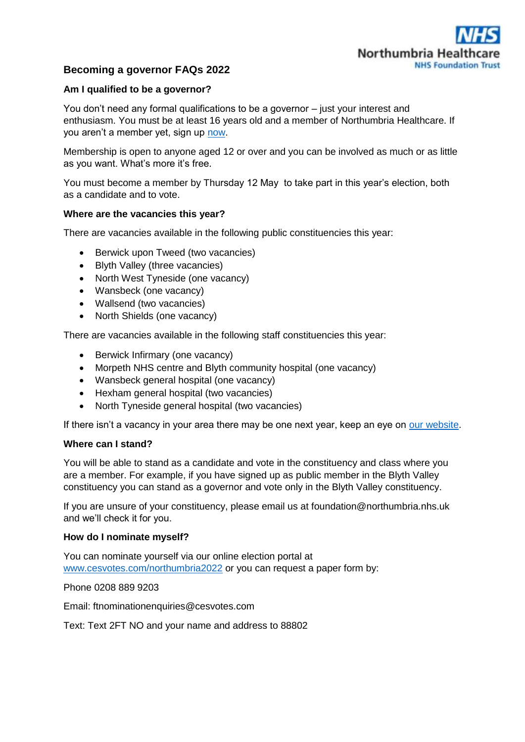

# **Becoming a governor FAQs 2022**

# **Am I qualified to be a governor?**

You don't need any formal qualifications to be a governor – just your interest and enthusiasm. You must be at least 16 years old and a member of Northumbria Healthcare. If you aren't a member yet, sign up [now.](https://www.northumbria.nhs.uk/get-involved/join-our-our-foundation-trust/become-a-member/member-application-form/#46282cd0)

Membership is open to anyone aged 12 or over and you can be involved as much or as little as you want. What's more it's free.

You must become a member by Thursday 12 May to take part in this year's election, both as a candidate and to vote.

# **Where are the vacancies this year?**

There are vacancies available in the following public constituencies this year:

- Berwick upon Tweed (two vacancies)
- Blyth Valley (three vacancies)
- North West Tyneside (one vacancy)
- Wansbeck (one vacancy)
- Wallsend (two vacancies)
- North Shields (one vacancy)

There are vacancies available in the following staff constituencies this year:

- Berwick Infirmary (one vacancy)
- Morpeth NHS centre and Blyth community hospital (one vacancy)
- Wansbeck general hospital (one vacancy)
- Hexham general hospital (two vacancies)
- North Tyneside general hospital (two vacancies)

If there isn't a vacancy in your area there may be one next year, keep an eye on [our website.](https://www.northumbria.nhs.uk/get-involved/join-our-our-foundation-trust/governor-elections/#46282cd0)

#### **Where can I stand?**

You will be able to stand as a candidate and vote in the constituency and class where you are a member. For example, if you have signed up as public member in the Blyth Valley constituency you can stand as a governor and vote only in the Blyth Valley constituency.

If you are unsure of your constituency, please email us at foundation@northumbria.nhs.uk and we'll check it for you.

#### **How do I nominate myself?**

You can nominate yourself via our online election portal at [www.cesvotes.com/northumbria2022](http://www.cesvotes.com/northumbria2022) or you can request a paper form by:

Phone 0208 889 9203

Email: ftnominationenquiries@cesvotes.com

Text: Text 2FT NO and your name and address to 88802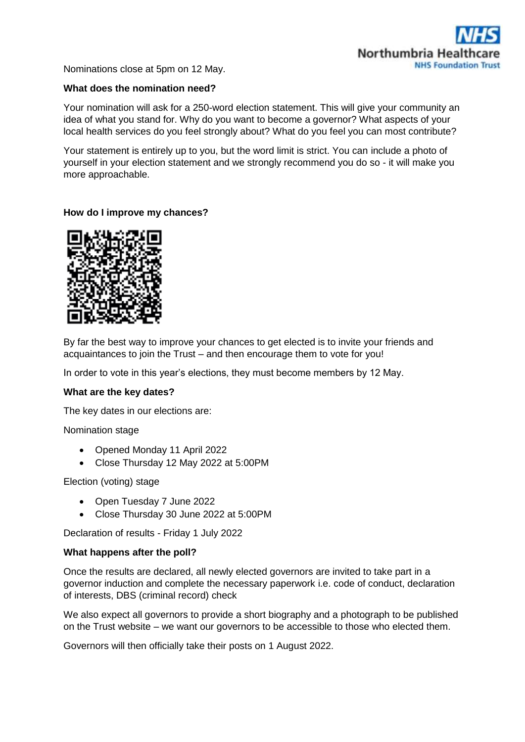

Nominations close at 5pm on 12 May.

#### **What does the nomination need?**

Your nomination will ask for a 250-word election statement. This will give your community an idea of what you stand for. Why do you want to become a governor? What aspects of your local health services do you feel strongly about? What do you feel you can most contribute?

Your statement is entirely up to you, but the word limit is strict. You can include a photo of yourself in your election statement and we strongly recommend you do so - it will make you more approachable.

# **How do I improve my chances?**



By far the best way to improve your chances to get elected is to invite your friends and acquaintances to join the Trust – and then encourage them to vote for you!

In order to vote in this year's elections, they must become members by 12 May.

#### **What are the key dates?**

The key dates in our elections are:

Nomination stage

- Opened Monday 11 April 2022
- Close Thursday 12 May 2022 at 5:00PM

#### Election (voting) stage

- Open Tuesday 7 June 2022
- Close Thursday 30 June 2022 at 5:00PM

Declaration of results - Friday 1 July 2022

#### **What happens after the poll?**

Once the results are declared, all newly elected governors are invited to take part in a governor induction and complete the necessary paperwork i.e. code of conduct, declaration of interests, DBS (criminal record) check

We also expect all governors to provide a short biography and a photograph to be published on the Trust website – we want our governors to be accessible to those who elected them.

Governors will then officially take their posts on 1 August 2022.